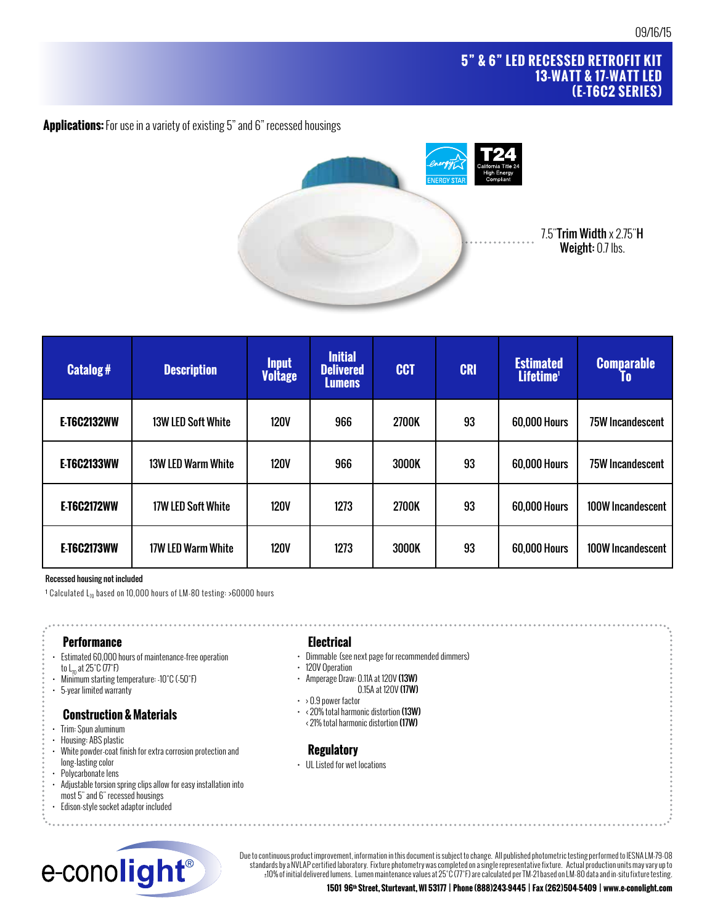# **5" & 6" LED RECESSED RETROFIT KIT 13-WATT & 17-WATT LED (E-T6C2 SERIES)**

**Applications:** For use in a variety of existing 5" and 6" recessed housings



| <b>Catalog#</b>    | <b>Description</b>        | <b>Input</b><br><b>Voltage</b> | <b>Initial</b><br><b>Delivered</b><br>Lumens | <b>CCT</b> | <b>CRI</b> | <b>Estimated</b><br>Lifetime <sup>1</sup> | <b>Comparable</b><br>10 |
|--------------------|---------------------------|--------------------------------|----------------------------------------------|------------|------------|-------------------------------------------|-------------------------|
| <b>E-T6C2132WW</b> | <b>13W LED Soft White</b> | <b>120V</b>                    | 966                                          | 2700K      | 93         | <b>60,000 Hours</b>                       | <b>75W Incandescent</b> |
| <b>E-T6C2133WW</b> | 13W LED Warm White        | <b>120V</b>                    | 966                                          | 3000K      | 93         | <b>60,000 Hours</b>                       | <b>75W Incandescent</b> |
| <b>E-T6C2172WW</b> | <b>17W LED Soft White</b> | <b>120V</b>                    | 1273                                         | 2700K      | 93         | <b>60,000 Hours</b>                       | 100W Incandescent       |
| <b>E-T6C2173WW</b> | 17W LED Warm White        | <b>120V</b>                    | 1273                                         | 3000K      | 93         | <b>60,000 Hours</b>                       | 100W Incandescent       |

#### Recessed housing not included

<sup>1</sup> Calculated  $L_{70}$  based on 10,000 hours of LM-80 testing: >60000 hours

## **Performance**

- Estimated 60,000 hours of maintenance-free operation to  $L_{70}$  at 25°C (77°F)
- Minimum starting temperature: -10˚C (-50˚F)
- 5-year limited warranty

#### **Construction & Materials**

- Trim: Spun aluminum
- Housing: ABS plastic
- White powder-coat finish for extra corrosion protection and long-lasting color
- Polycarbonate lens
- Adjustable torsion spring clips allow for easy installation into
- most 5" and 6" recessed housings
- Edison-style socket adaptor included



## **Electrical**

- Dimmable (see next page for recommended dimmers)
- 120V Operation
- Amperage Draw: 0.11A at 120V (13W)
	- 0.15A at 120V (17W)
- $\cdot \rightarrow 0.9$  power factor
- $\cdot$  < 20% total harmonic distortion (13W) ‹ 21% total harmonic distortion (17W)

### **Regulatory**

• UL Listed for wet locations

Due to continuous product improvement, information in this document is subject to change. All published photometric testing performed to IESNA LM-79-08 standards by a NVLAP certified laboratory. Fixture photometry was completed on a single representative fixture. Actual production units may vary up to ±10% of initial delivered lumens. Lumen maintenance values at 25˚C (77˚F) are calculated per TM-21 based on LM-80 data and in-situ fixture testing.